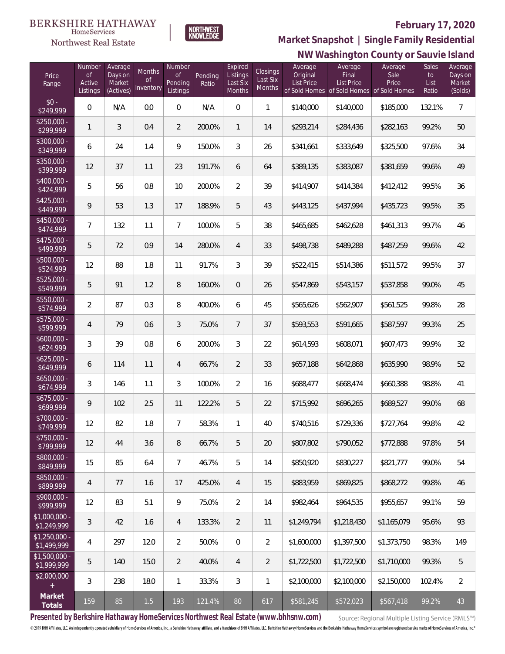### **February 17, 2020**



**BERKSHIRE HATHAWAY** 

 $\label{lem:sevices} \textsc{Home} \textsc{Service} \textsc{s}$ Northwest Real Estate

# **NW Washington County or Sauvie Island Market Snapshot | Single Family Residential**

| Price<br>Range                | Number<br><b>of</b><br>Active<br>Listings | Average<br>Days on<br>Market<br>(Actives) | Months<br>Οf<br>Inventory | Number<br><b>of</b><br>Pending<br>Listings | Pending<br>Ratio | Expired<br>Listings<br>Last Six<br>Months | Closings<br>Last Six<br>Months | Average<br>Original<br>List Price | Average<br>Final<br>List Price<br>of Sold Homes of Sold Homes of Sold Homes | Average<br>Sale<br>Price | <b>Sales</b><br>to<br>List<br>Ratio | Average<br>Days on<br>Market<br>(Solds) |
|-------------------------------|-------------------------------------------|-------------------------------------------|---------------------------|--------------------------------------------|------------------|-------------------------------------------|--------------------------------|-----------------------------------|-----------------------------------------------------------------------------|--------------------------|-------------------------------------|-----------------------------------------|
| $$0 -$<br>\$249,999           | $\mathbf 0$                               | N/A                                       | 0.0                       | $\overline{0}$                             | N/A              | $\Omega$                                  | $\mathbf{1}$                   | \$140,000                         | \$140,000                                                                   | \$185,000                | 132.1%                              | $\overline{7}$                          |
| $$250,000 -$<br>\$299,999     | 1                                         | 3                                         | 0.4                       | $\overline{2}$                             | 200.0%           | $\mathbf{1}$                              | 14                             | \$293,214                         | \$284,436                                                                   | \$282,163                | 99.2%                               | 50                                      |
| \$300,000 -<br>\$349,999      | 6                                         | 24                                        | 1.4                       | 9                                          | 150.0%           | 3                                         | 26                             | \$341,661                         | \$333,649                                                                   | \$325,500                | 97.6%                               | 34                                      |
| \$350,000 -<br>\$399,999      | 12                                        | 37                                        | 1.1                       | 23                                         | 191.7%           | 6                                         | 64                             | \$389,135                         | \$383,087                                                                   | \$381,659                | 99.6%                               | 49                                      |
| \$400,000 -<br>\$424,999      | 5                                         | 56                                        | 0.8                       | 10                                         | 200.0%           | $\overline{2}$                            | 39                             | \$414,907                         | \$414,384                                                                   | \$412,412                | 99.5%                               | 36                                      |
| \$425,000 -<br>\$449,999      | 9                                         | 53                                        | 1.3                       | 17                                         | 188.9%           | 5                                         | 43                             | \$443,125                         | \$437,994                                                                   | \$435,723                | 99.5%                               | 35                                      |
| $$450,000 -$<br>\$474,999     | 7                                         | 132                                       | 1.1                       | $\overline{7}$                             | 100.0%           | 5                                         | 38                             | \$465,685                         | \$462,628                                                                   | \$461,313                | 99.7%                               | 46                                      |
| \$475,000 -<br>\$499,999      | 5                                         | 72                                        | 0.9                       | 14                                         | 280.0%           | $\overline{4}$                            | 33                             | \$498,738                         | \$489,288                                                                   | \$487,259                | 99.6%                               | 42                                      |
| \$500,000 -<br>\$524,999      | 12                                        | 88                                        | 1.8                       | 11                                         | 91.7%            | 3                                         | 39                             | \$522,415                         | \$514,386                                                                   | \$511,572                | 99.5%                               | 37                                      |
| \$525,000 -<br>\$549,999      | 5                                         | 91                                        | 1.2                       | $\, 8$                                     | 160.0%           | $\overline{0}$                            | 26                             | \$547,869                         | \$543,157                                                                   | \$537,858                | 99.0%                               | 45                                      |
| \$550,000 -<br>\$574,999      | $\overline{2}$                            | 87                                        | 0.3                       | 8                                          | 400.0%           | 6                                         | 45                             | \$565,626                         | \$562,907                                                                   | \$561,525                | 99.8%                               | 28                                      |
| $$575,000 -$<br>\$599,999     | 4                                         | 79                                        | 0.6                       | 3                                          | 75.0%            | $\overline{7}$                            | 37                             | \$593,553                         | \$591,665                                                                   | \$587,597                | 99.3%                               | 25                                      |
| $$600,000 -$<br>\$624,999     | 3                                         | 39                                        | $0.8\,$                   | 6                                          | 200.0%           | 3                                         | 22                             | \$614,593                         | \$608,071                                                                   | \$607,473                | 99.9%                               | 32                                      |
| $$625,000 -$<br>\$649,999     | 6                                         | 114                                       | 1.1                       | 4                                          | 66.7%            | $\overline{2}$                            | 33                             | \$657,188                         | \$642,868                                                                   | \$635,990                | 98.9%                               | 52                                      |
| $$650,000 -$<br>\$674,999     | 3                                         | 146                                       | 1.1                       | 3                                          | 100.0%           | $\overline{2}$                            | 16                             | \$688,477                         | \$668,474                                                                   | \$660,388                | 98.8%                               | 41                                      |
| $$675,000 -$<br>\$699,999     | 9                                         | 102                                       | 2.5                       | 11                                         | 122.2%           | 5                                         | 22                             | \$715,992                         | \$696,265                                                                   | \$689,527                | 99.0%                               | 68                                      |
| \$700,000 -<br>\$749,999      | 12                                        | 82                                        | 1.8                       | $\overline{7}$                             | 58.3%            | 1                                         | 40                             | \$740,516                         | \$729,336                                                                   | \$727,764                | 99.8%                               | 42                                      |
| \$750,000 -<br>\$799,999      | 12                                        | 44                                        | 3.6                       | 8                                          | 66.7%            | 5                                         | 20                             | \$807,802                         | \$790.052                                                                   | \$772,888                | 97.8%                               | 54                                      |
| \$800,000 -<br>\$849,999      | 15                                        | 85                                        | 6.4                       | $7\overline{ }$                            | 46.7%            | 5                                         | 14                             | \$850,920                         | \$830,227                                                                   | \$821,777                | 99.0%                               | 54                                      |
| \$850,000 -<br>\$899,999      | 4                                         | 77                                        | 1.6                       | 17                                         | 425.0%           | $\overline{4}$                            | 15                             | \$883,959                         | \$869,825                                                                   | \$868,272                | 99.8%                               | 46                                      |
| $$900,000 -$<br>\$999,999     | 12                                        | 83                                        | 5.1                       | $\mathcal{G}$                              | 75.0%            | $\overline{2}$                            | 14                             | \$982,464                         | \$964,535                                                                   | \$955,657                | 99.1%                               | 59                                      |
| \$1,000,000 -<br>\$1,249,999  | 3                                         | 42                                        | 1.6                       | 4                                          | 133.3%           | $\overline{2}$                            | 11                             | \$1,249,794                       | \$1,218,430                                                                 | \$1,165,079              | 95.6%                               | 93                                      |
| $$1,250,000 -$<br>\$1,499,999 | 4                                         | 297                                       | 12.0                      | $\overline{2}$                             | 50.0%            | $\overline{0}$                            | $\overline{2}$                 | \$1,600,000                       | \$1,397,500                                                                 | \$1,373,750              | 98.3%                               | 149                                     |
| $$1,500,000 -$<br>\$1,999,999 | 5                                         | 140                                       | 15.0                      | $\overline{2}$                             | 40.0%            | $\overline{4}$                            | $\overline{2}$                 | \$1,722,500                       | \$1,722,500                                                                 | \$1,710,000              | 99.3%                               | 5                                       |
| \$2,000,000<br>$+$            | 3                                         | 238                                       | 18.0                      | $\mathbf{1}$                               | 33.3%            | 3                                         | 1                              | \$2,100,000                       | \$2,100,000                                                                 | \$2,150,000              | 102.4%                              | $\overline{2}$                          |
| Market<br>Totals              | 159                                       | 85                                        | 1.5                       | 193                                        | 121.4%           | 80                                        | 617                            | \$581,245                         | \$572,023                                                                   | \$567,418                | 99.2%                               | 43                                      |

**Presented by Berkshire Hathaway HomeServices Northwest Real Estate (www.bhhsnw.com)**

Source: Regional Multiple Listing Service (RMLS™)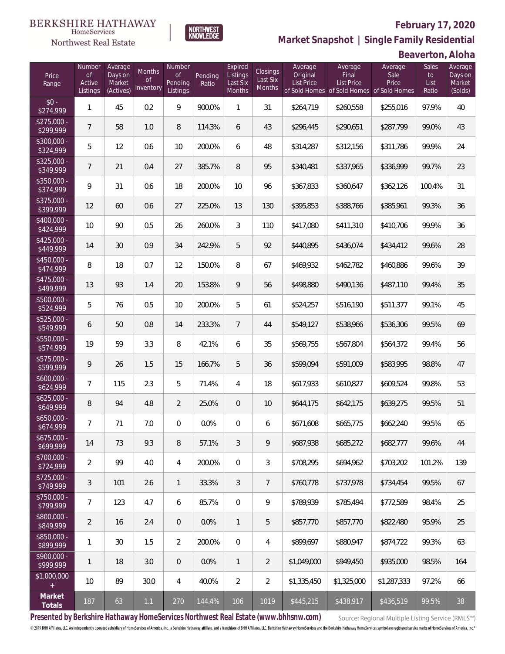### **February 17, 2020**

**Beaverton, Aloha**



**Market Snapshot | Single Family Residential**

#### $\label{lem:sevices} \textsc{Home} \textsc{Service} \textsc{s}$ Northwest Real Estate

| Price<br>Range            | Number<br><b>of</b><br>Active<br>Listings | Average<br>Days on<br>Market<br>(Actives) | Months<br><b>of</b><br>Inventory | Number<br>$\mathsf{of}$<br>Pending<br>Listings | Pending<br>Ratio | Expired<br>Listings<br>Last Six<br>Months | <b>Closings</b><br>Last Six<br>Months | Average<br>Original<br><b>List Price</b> | Average<br>Final<br>List Price<br>of Sold Homes of Sold Homes of Sold Homes | Average<br>Sale<br>Price | Sales<br>to<br>List<br>Ratio | Average<br>Days on<br>Market<br>(Solds) |
|---------------------------|-------------------------------------------|-------------------------------------------|----------------------------------|------------------------------------------------|------------------|-------------------------------------------|---------------------------------------|------------------------------------------|-----------------------------------------------------------------------------|--------------------------|------------------------------|-----------------------------------------|
| $$0 -$<br>\$274,999       | $\mathbf{1}$                              | 45                                        | 0.2                              | 9                                              | 900.0%           | 1                                         | 31                                    | \$264,719                                | \$260,558                                                                   | \$255,016                | 97.9%                        | 40                                      |
| $$275,000 -$<br>\$299,999 | $\overline{7}$                            | 58                                        | 1.0                              | 8                                              | 114.3%           | 6                                         | 43                                    | \$296,445                                | \$290,651                                                                   | \$287,799                | 99.0%                        | 43                                      |
| $$300,000 -$<br>\$324,999 | 5                                         | 12                                        | 0.6                              | 10                                             | 200.0%           | 6                                         | 48                                    | \$314,287                                | \$312,156                                                                   | \$311,786                | 99.9%                        | 24                                      |
| $$325,000 -$<br>\$349,999 | $7\overline{ }$                           | 21                                        | 0.4                              | 27                                             | 385.7%           | 8                                         | 95                                    | \$340,481                                | \$337,965                                                                   | \$336,999                | 99.7%                        | 23                                      |
| $$350,000 -$<br>\$374,999 | 9                                         | 31                                        | 0.6                              | 18                                             | 200.0%           | 10                                        | 96                                    | \$367,833                                | \$360,647                                                                   | \$362,126                | 100.4%                       | 31                                      |
| $$375,000 -$<br>\$399,999 | 12                                        | 60                                        | 0.6                              | 27                                             | 225.0%           | 13                                        | 130                                   | \$395,853                                | \$388,766                                                                   | \$385,961                | 99.3%                        | 36                                      |
| $$400,000 -$<br>\$424,999 | 10                                        | 90                                        | 0.5                              | 26                                             | 260.0%           | 3                                         | 110                                   | \$417,080                                | \$411,310                                                                   | \$410,706                | 99.9%                        | 36                                      |
| $$425,000 -$<br>\$449,999 | 14                                        | 30                                        | 0.9                              | 34                                             | 242.9%           | 5                                         | 92                                    | \$440,895                                | \$436,074                                                                   | \$434,412                | 99.6%                        | 28                                      |
| $$450,000 -$<br>\$474,999 | 8                                         | 18                                        | 0.7                              | 12                                             | 150.0%           | 8                                         | 67                                    | \$469,932                                | \$462,782                                                                   | \$460,886                | 99.6%                        | 39                                      |
| $$475,000 -$<br>\$499,999 | 13                                        | 93                                        | 1.4                              | 20                                             | 153.8%           | 9                                         | 56                                    | \$498,880                                | \$490,136                                                                   | \$487,110                | 99.4%                        | 35                                      |
| $$500,000 -$<br>\$524,999 | 5                                         | 76                                        | 0.5                              | 10                                             | 200.0%           | 5                                         | 61                                    | \$524,257                                | \$516,190                                                                   | \$511,377                | 99.1%                        | 45                                      |
| $$525,000 -$<br>\$549,999 | 6                                         | 50                                        | 0.8                              | 14                                             | 233.3%           | $\overline{7}$                            | 44                                    | \$549,127                                | \$538,966                                                                   | \$536,306                | 99.5%                        | 69                                      |
| $$550,000 -$<br>\$574,999 | 19                                        | 59                                        | 3.3                              | 8                                              | 42.1%            | 6                                         | 35                                    | \$569,755                                | \$567,804                                                                   | \$564,372                | 99.4%                        | 56                                      |
| $$575,000 -$<br>\$599,999 | 9                                         | 26                                        | 1.5                              | 15                                             | 166.7%           | 5                                         | 36                                    | \$599,094                                | \$591,009                                                                   | \$583,995                | 98.8%                        | 47                                      |
| $$600,000 -$<br>\$624,999 | $\overline{7}$                            | 115                                       | 2.3                              | 5                                              | 71.4%            | 4                                         | 18                                    | \$617,933                                | \$610,827                                                                   | \$609,524                | 99.8%                        | 53                                      |
| $$625,000 -$<br>\$649,999 | 8                                         | 94                                        | 4.8                              | $\overline{2}$                                 | 25.0%            | $\overline{0}$                            | 10                                    | \$644,175                                | \$642,175                                                                   | \$639,275                | 99.5%                        | 51                                      |
| $$650,000 -$<br>\$674,999 | $\overline{7}$                            | 71                                        | 7.0                              | 0                                              | 0.0%             | 0                                         | 6                                     | \$671,608                                | \$665,775                                                                   | \$662,240                | 99.5%                        | 65                                      |
| $$675,000 -$<br>\$699,999 | 14                                        | 73                                        | 9.3                              | 8                                              | 57.1%            | 3                                         | 9                                     | \$687,938                                | \$685,272                                                                   | \$682,777                | 99.6%                        | 44                                      |
| $$700,000 -$<br>\$724,999 | $\overline{2}$                            | 99                                        | 4.0                              | 4                                              | 200.0%           | $\overline{0}$                            | 3                                     | \$708,295                                | \$694,962                                                                   | \$703,202                | 101.2%                       | 139                                     |
| $$725,000 -$<br>\$749,999 | $\sqrt{3}$                                | 101                                       | 2.6                              | $\mathbf{1}$                                   | 33.3%            | 3                                         | 7                                     | \$760,778                                | \$737,978                                                                   | \$734,454                | 99.5%                        | 67                                      |
| $$750,000 -$<br>\$799,999 | $\overline{7}$                            | 123                                       | 4.7                              | 6                                              | 85.7%            | $\overline{0}$                            | 9                                     | \$789,939                                | \$785,494                                                                   | \$772,589                | 98.4%                        | 25                                      |
| $$800,000 -$<br>\$849,999 | $\overline{2}$                            | 16                                        | 2.4                              | 0                                              | 0.0%             | $\mathbf{1}$                              | 5                                     | \$857,770                                | \$857,770                                                                   | \$822,480                | 95.9%                        | 25                                      |
| \$850,000 -<br>\$899,999  | $\mathbf{1}$                              | 30                                        | 1.5                              | $\overline{2}$                                 | 200.0%           | $\mathbf{0}$                              | 4                                     | \$899.697                                | \$880,947                                                                   | \$874,722                | 99.3%                        | 63                                      |
| $$900,000 -$<br>\$999,999 | $\mathbf{1}$                              | 18                                        | 3.0                              | 0                                              | 0.0%             | $\mathbf{1}$                              | $\overline{2}$                        | \$1,049,000                              | \$949,450                                                                   | \$935,000                | 98.5%                        | 164                                     |
| \$1,000,000<br>$+$        | 10                                        | 89                                        | 30.0                             | 4                                              | 40.0%            | $\overline{2}$                            | $\overline{2}$                        | \$1,335,450                              | \$1,325,000                                                                 | \$1,287,333              | 97.2%                        | 66                                      |
| Market<br>Totals          | 187                                       | 63                                        | 1.1                              | 270                                            | 144.4%           | 106                                       | 1019                                  | \$445,215                                | \$438,917                                                                   | \$436,519                | 99.5%                        | 38                                      |

**Presented by Berkshire Hathaway HomeServices Northwest Real Estate (www.bhhsnw.com)**

Source: Regional Multiple Listing Service (RMLS™)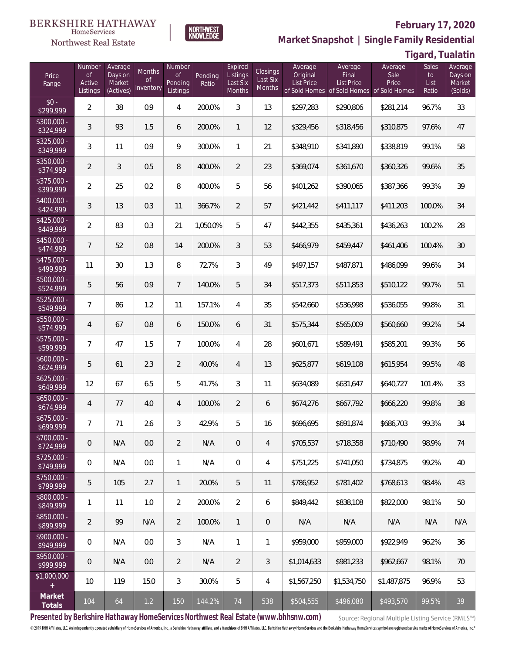### Northwest Real Estate



# **Market Snapshot | Single Family Residential**

**Tigard, Tualatin**

**February 17, 2020**

| Price<br>Range                   | Number<br>of<br>Active<br>Listings | Average<br>Days on<br>Market<br>(Actives) | Months<br>Οf<br>Inventory | Number<br><b>of</b><br>Pending<br>Listings | Pending<br>Ratio | Expired<br>Listings<br>Last Six<br>Months | Closings<br>Last Six<br>Months | Average<br>Original<br><b>List Price</b> | Average<br>Final<br>List Price<br>of Sold Homes of Sold Homes of Sold Homes | Average<br>Sale<br>Price | Sales<br>to<br>List<br>Ratio | Average<br>Days on<br>Market<br>(Solds) |
|----------------------------------|------------------------------------|-------------------------------------------|---------------------------|--------------------------------------------|------------------|-------------------------------------------|--------------------------------|------------------------------------------|-----------------------------------------------------------------------------|--------------------------|------------------------------|-----------------------------------------|
| $$0 -$<br>\$299,999              | $\overline{2}$                     | 38                                        | 0.9                       | 4                                          | 200.0%           | 3                                         | 13                             | \$297,283                                | \$290,806                                                                   | \$281,214                | 96.7%                        | 33                                      |
| $$300,000 -$<br>\$324,999        | 3                                  | 93                                        | 1.5                       | 6                                          | 200.0%           | $\mathbf{1}$                              | 12                             | \$329,456                                | \$318,456                                                                   | \$310,875                | 97.6%                        | 47                                      |
| $$325,000 -$<br>\$349,999        | 3                                  | 11                                        | 0.9                       | $\mathcal{G}$                              | 300.0%           | $\mathbf{1}$                              | 21                             | \$348,910                                | \$341,890                                                                   | \$338,819                | 99.1%                        | 58                                      |
| $$350,000 -$<br>\$374,999        | $\overline{2}$                     | 3                                         | 0.5                       | 8                                          | 400.0%           | 2                                         | 23                             | \$369,074                                | \$361,670                                                                   | \$360,326                | 99.6%                        | 35                                      |
| $$375,000 -$<br>\$399,999        | $\overline{a}$                     | 25                                        | 0.2                       | $\, 8$                                     | 400.0%           | 5                                         | 56                             | \$401,262                                | \$390,065                                                                   | \$387,366                | 99.3%                        | 39                                      |
| $$400,000 -$<br>\$424,999        | 3                                  | 13                                        | 0.3                       | 11                                         | 366.7%           | $\overline{2}$                            | 57                             | \$421,442                                | \$411,117                                                                   | \$411,203                | 100.0%                       | 34                                      |
| $$425,000 -$<br>\$449,999        | $\overline{2}$                     | 83                                        | 0.3                       | 21                                         | 1,050.0%         | 5                                         | 47                             | \$442,355                                | \$435,361                                                                   | \$436,263                | 100.2%                       | 28                                      |
| $$450,000 -$<br>\$474,999        | $\overline{7}$                     | 52                                        | 0.8                       | 14                                         | 200.0%           | 3                                         | 53                             | \$466,979                                | \$459,447                                                                   | \$461,406                | 100.4%                       | 30                                      |
| $$475,000 -$<br>\$499,999        | 11                                 | 30                                        | 1.3                       | 8                                          | 72.7%            | 3                                         | 49                             | \$497,157                                | \$487,871                                                                   | \$486,099                | 99.6%                        | 34                                      |
| $$500,000 -$<br>\$524,999        | 5                                  | 56                                        | 0.9                       | $7\overline{ }$                            | 140.0%           | 5                                         | 34                             | \$517,373                                | \$511,853                                                                   | \$510,122                | 99.7%                        | 51                                      |
| $$525,000 -$<br>\$549,999        | $\overline{7}$                     | 86                                        | 1.2                       | 11                                         | 157.1%           | $\overline{4}$                            | 35                             | \$542,660                                | \$536,998                                                                   | \$536,055                | 99.8%                        | 31                                      |
| $$550,000 -$<br>\$574,999        | 4                                  | 67                                        | 0.8                       | 6                                          | 150.0%           | 6                                         | 31                             | \$575,344                                | \$565,009                                                                   | \$560,660                | 99.2%                        | 54                                      |
| $$575,000 -$<br>\$599,999        | 7                                  | 47                                        | 1.5                       | $\overline{7}$                             | 100.0%           | $\overline{4}$                            | 28                             | \$601,671                                | \$589,491                                                                   | \$585,201                | 99.3%                        | 56                                      |
| $$600,000 -$<br>\$624,999        | 5                                  | 61                                        | 2.3                       | $\overline{2}$                             | 40.0%            | $\overline{4}$                            | 13                             | \$625,877                                | \$619,108                                                                   | \$615,954                | 99.5%                        | 48                                      |
| $$625,000 -$<br>\$649,999        | 12                                 | 67                                        | 6.5                       | 5                                          | 41.7%            | 3                                         | 11                             | \$634,089                                | \$631,647                                                                   | \$640,727                | 101.4%                       | 33                                      |
| $$650,000 -$<br>\$674,999        | 4                                  | 77                                        | 4.0                       | $\overline{4}$                             | 100.0%           | $\overline{2}$                            | 6                              | \$674,276                                | \$667,792                                                                   | \$666,220                | 99.8%                        | 38                                      |
| $$675,000 -$<br>\$699,999        | $\overline{7}$                     | 71                                        | 2.6                       | 3                                          | 42.9%            | 5                                         | 16                             | \$696,695                                | \$691,874                                                                   | \$686,703                | 99.3%                        | 34                                      |
| $\sqrt{$700,000}$ -<br>\$724,999 | 0                                  | N/A                                       | 0.0                       | $\overline{2}$                             | N/A              | $\mathbf 0$                               | 4                              | \$705,537                                | \$718,358                                                                   | \$710,490                | 98.9%                        | 74                                      |
| $$725,000 -$<br>\$749,999        | $\mathbf 0$                        | N/A                                       | 0.0                       | $\mathbf{1}$                               | N/A              | $\mathbf 0$                               | 4                              | \$751,225                                | \$741,050                                                                   | \$734,875                | 99.2%                        | 40                                      |
| $$750,000 -$<br>\$799,999        | 5                                  | 105                                       | 2.7                       | $\mathbf{1}$                               | 20.0%            | 5                                         | 11                             | \$786,952                                | \$781,402                                                                   | \$768,613                | 98.4%                        | 43                                      |
| $$800,000 -$<br>\$849,999        | 1                                  | 11                                        | 1.0                       | $\overline{2}$                             | 200.0%           | $\overline{2}$                            | 6                              | \$849,442                                | \$838,108                                                                   | \$822,000                | 98.1%                        | 50                                      |
| \$850,000 -<br>\$899,999         | $\overline{2}$                     | 99                                        | N/A                       | $\overline{2}$                             | 100.0%           | $\mathbf{1}$                              | 0                              | N/A                                      | N/A                                                                         | N/A                      | N/A                          | N/A                                     |
| $$900,000 -$<br>\$949,999        | $\mathbb O$                        | N/A                                       | 0.0                       | $\mathfrak{Z}$                             | N/A              | $\mathbf{1}$                              | 1                              | \$959,000                                | \$959,000                                                                   | \$922,949                | 96.2%                        | 36                                      |
| $$950,000 -$<br>\$999,999        | $\theta$                           | N/A                                       | 0.0                       | $\overline{2}$                             | N/A              | $\overline{2}$                            | $\mathfrak{Z}$                 | \$1,014,633                              | \$981,233                                                                   | \$962,667                | 98.1%                        | 70                                      |
| \$1,000,000<br>$+$               | 10                                 | 119                                       | 15.0                      | $\mathfrak{Z}$                             | 30.0%            | 5                                         | $\overline{4}$                 | \$1,567,250                              | \$1,534,750                                                                 | \$1,487,875              | 96.9%                        | 53                                      |
| Market<br>Totals                 | 104                                | 64                                        | $1.2$                     | 150                                        | 144.2%           | 74                                        | 538                            | \$504,555                                | \$496,080                                                                   | \$493,570                | 99.5%                        | 39                                      |

**Presented by Berkshire Hathaway HomeServices Northwest Real Estate (www.bhhsnw.com)**

Source: Regional Multiple Listing Service (RMLS™)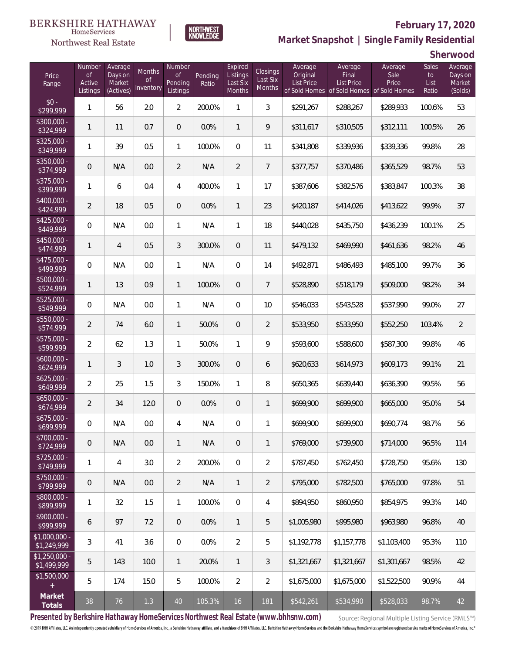### Northwest Real Estate



# **February 17, 2020**

**Market Snapshot | Single Family Residential**

**Sherwood**

| Price<br>Range                | Number<br>of<br>Active<br>Listings | Average<br>Days on<br>Market<br>(Actives) | Months<br>0f<br>Inventory | Number<br><b>of</b><br>Pending<br>Listings | Pending<br>Ratio | Expired<br>Listings<br>Last Six<br>Months | Closings<br>Last Six<br>Months | Average<br>Original<br><b>List Price</b> | Average<br>Final<br>List Price<br>of Sold Homes of Sold Homes | Average<br>Sale<br>Price<br>of Sold Homes | Sales<br>to<br>List<br>Ratio | Average<br>Days on<br>Market<br>(Solds) |
|-------------------------------|------------------------------------|-------------------------------------------|---------------------------|--------------------------------------------|------------------|-------------------------------------------|--------------------------------|------------------------------------------|---------------------------------------------------------------|-------------------------------------------|------------------------------|-----------------------------------------|
| $$0 -$<br>\$299,999           | 1                                  | 56                                        | 2.0                       | $\overline{2}$                             | 200.0%           | 1                                         | 3                              | \$291,267                                | \$288,267                                                     | \$289,933                                 | 100.6%                       | 53                                      |
| $$300,000 -$<br>\$324,999     | 1                                  | 11                                        | 0.7                       | $\overline{0}$                             | 0.0%             | $\mathbf{1}$                              | 9                              | \$311,617                                | \$310,505                                                     | \$312,111                                 | 100.5%                       | 26                                      |
| $$325,000 -$<br>\$349,999     | 1                                  | 39                                        | 0.5                       | $\mathbf{1}$                               | 100.0%           | $\overline{0}$                            | 11                             | \$341,808                                | \$339,936                                                     | \$339,336                                 | 99.8%                        | 28                                      |
| \$350,000 -<br>\$374,999      | 0                                  | N/A                                       | 0.0                       | $\overline{2}$                             | N/A              | $\overline{2}$                            | $7\overline{ }$                | \$377,757                                | \$370,486                                                     | \$365,529                                 | 98.7%                        | 53                                      |
| $$375,000 -$<br>\$399,999     | 1                                  | 6                                         | 0.4                       | 4                                          | 400.0%           | $\mathbf{1}$                              | 17                             | \$387,606                                | \$382,576                                                     | \$383,847                                 | 100.3%                       | 38                                      |
| $$400,000 -$<br>\$424,999     | $\overline{2}$                     | 18                                        | 0.5                       | $\overline{0}$                             | 0.0%             | $\mathbf{1}$                              | 23                             | \$420,187                                | \$414,026                                                     | \$413,622                                 | 99.9%                        | 37                                      |
| $$425,000 -$<br>\$449,999     | $\overline{0}$                     | N/A                                       | 0.0                       | $\mathbf{1}$                               | N/A              | $\mathbf{1}$                              | 18                             | \$440,028                                | \$435,750                                                     | \$436,239                                 | 100.1%                       | 25                                      |
| $$450,000 -$<br>\$474,999     | 1                                  | $\overline{4}$                            | 0.5                       | 3                                          | 300.0%           | $\overline{0}$                            | 11                             | \$479,132                                | \$469,990                                                     | \$461,636                                 | 98.2%                        | 46                                      |
| $$475,000 -$<br>\$499,999     | $\overline{0}$                     | N/A                                       | 0.0                       | $\mathbf{1}$                               | N/A              | $\overline{0}$                            | 14                             | \$492,871                                | \$486,493                                                     | \$485,100                                 | 99.7%                        | 36                                      |
| $$500,000 -$<br>\$524,999     | 1                                  | 13                                        | 0.9                       | $\mathbf{1}$                               | 100.0%           | $\overline{0}$                            | $\overline{7}$                 | \$528,890                                | \$518,179                                                     | \$509,000                                 | 98.2%                        | 34                                      |
| $$525,000 -$<br>\$549,999     | $\overline{0}$                     | N/A                                       | 0.0                       | $\mathbf{1}$                               | N/A              | $\overline{0}$                            | 10                             | \$546,033                                | \$543,528                                                     | \$537,990                                 | 99.0%                        | 27                                      |
| $$550,000 -$<br>\$574,999     | $\overline{2}$                     | 74                                        | 6.0                       | $\mathbf{1}$                               | 50.0%            | $\overline{0}$                            | $\overline{2}$                 | \$533,950                                | \$533,950                                                     | \$552,250                                 | 103.4%                       | $\overline{2}$                          |
| $$575,000 -$<br>\$599,999     | $\overline{a}$                     | 62                                        | 1.3                       | $\mathbf{1}$                               | 50.0%            | $\mathbf{1}$                              | 9                              | \$593,600                                | \$588,600                                                     | \$587,300                                 | 99.8%                        | 46                                      |
| $$600,000 -$<br>\$624,999     | $\mathbf{1}$                       | 3                                         | 1.0                       | 3                                          | 300.0%           | $\overline{0}$                            | 6                              | \$620,633                                | \$614,973                                                     | \$609,173                                 | 99.1%                        | 21                                      |
| $$625,000 -$<br>\$649,999     | $\overline{2}$                     | 25                                        | 1.5                       | 3                                          | 150.0%           | $\mathbf{1}$                              | 8                              | \$650,365                                | \$639,440                                                     | \$636,390                                 | 99.5%                        | 56                                      |
| $$650,000 -$<br>\$674,999     | $\overline{2}$                     | 34                                        | 12.0                      | $\overline{0}$                             | 0.0%             | $\overline{0}$                            | $\mathbf{1}$                   | \$699,900                                | \$699,900                                                     | \$665,000                                 | 95.0%                        | 54                                      |
| $$675,000 -$<br>\$699,999     | 0                                  | N/A                                       | 0.0                       | 4                                          | N/A              | $\overline{0}$                            | 1                              | \$699,900                                | \$699,900                                                     | \$690,774                                 | 98.7%                        | 56                                      |
| $$700,000 -$<br>\$724,999     | 0                                  | N/A                                       | 0.0                       | $\mathbf{1}$                               | N/A              | $\overline{0}$                            | $\mathbf{1}$                   | \$769,000                                | \$739.900                                                     | \$714,000                                 | 96.5%                        | 114                                     |
| $$725,000 -$<br>\$749,999     | 1                                  | $\overline{4}$                            | 3.0                       | $\overline{2}$                             | 200.0%           | $\overline{0}$                            | $\overline{2}$                 | \$787,450                                | \$762,450                                                     | \$728,750                                 | 95.6%                        | 130                                     |
| $$750,000 -$<br>\$799,999     | $\overline{0}$                     | N/A                                       | 0.0                       | $\overline{2}$                             | N/A              | $\mathbf{1}$                              | $\overline{2}$                 | \$795,000                                | \$782,500                                                     | \$765,000                                 | 97.8%                        | 51                                      |
| $$800,000 -$<br>\$899,999     | 1                                  | 32                                        | 1.5                       | $\mathbf{1}$                               | 100.0%           | $\boldsymbol{0}$                          | 4                              | \$894,950                                | \$860,950                                                     | \$854,975                                 | 99.3%                        | 140                                     |
| $$900,000 -$<br>\$999,999     | 6                                  | 97                                        | 7.2                       | $\overline{0}$                             | 0.0%             | $\mathbf{1}$                              | 5                              | \$1,005,980                              | \$995,980                                                     | \$963,980                                 | 96.8%                        | 40                                      |
| \$1,000,000 -<br>\$1,249,999  | 3                                  | 41                                        | 3.6                       | $\boldsymbol{0}$                           | 0.0%             | $\overline{2}$                            | 5                              | \$1,192,778                              | \$1,157,778                                                   | \$1,103,400                               | 95.3%                        | 110                                     |
| $$1,250,000 -$<br>\$1,499,999 | 5                                  | 143                                       | 10.0                      | $\overline{1}$                             | 20.0%            | $\mathbf{1}$                              | 3                              | \$1,321,667                              | \$1,321,667                                                   | \$1,301,667                               | 98.5%                        | 42                                      |
| \$1,500,000<br>$+$            | 5                                  | 174                                       | 15.0                      | 5                                          | 100.0%           | $\overline{2}$                            | $\overline{2}$                 | \$1,675,000                              | \$1,675,000                                                   | \$1,522,500                               | 90.9%                        | 44                                      |
| Market<br>Totals              | 38                                 | 76                                        | 1.3                       | 40                                         | 105.3%           | 16                                        | 181                            | \$542,261                                | \$534,990                                                     | \$528,033                                 | 98.7%                        | 42                                      |

**Presented by Berkshire Hathaway HomeServices Northwest Real Estate (www.bhhsnw.com)**

Source: Regional Multiple Listing Service (RMLS™)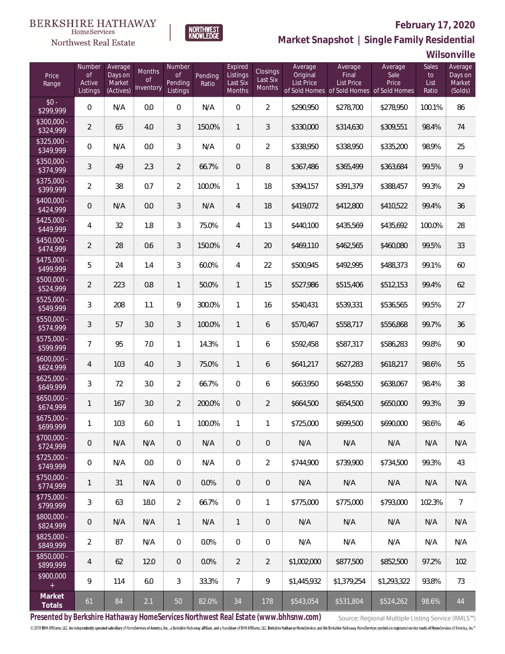

### **February 17, 2020**

**Market Snapshot | Single Family Residential**

**Wilsonville**

| Price<br>Range            | Number<br>of<br>Active<br>Listings | Average<br>Days on<br>Market<br>(Actives) | Months<br>Οf<br>Inventory | Number<br>Οf<br>Pending<br>Listings | Pending<br>Ratio | Expired<br>Listings<br>Last Six<br>Months | Closings<br>Last Six<br>Months | Average<br>Original<br><b>List Price</b> | Average<br>Final<br>List Price<br>of Sold Homes of Sold Homes of Sold Homes | Average<br>Sale<br>Price | Sales<br>to<br>List<br>Ratio | Average<br>Days on<br>Market<br>(Solds) |
|---------------------------|------------------------------------|-------------------------------------------|---------------------------|-------------------------------------|------------------|-------------------------------------------|--------------------------------|------------------------------------------|-----------------------------------------------------------------------------|--------------------------|------------------------------|-----------------------------------------|
| $$0 -$<br>\$299,999       | $\overline{0}$                     | N/A                                       | 0.0                       | $\overline{0}$                      | N/A              | $\overline{0}$                            | $\overline{2}$                 | \$290,950                                | \$278,700                                                                   | \$278,950                | 100.1%                       | 86                                      |
| $$300,000 -$<br>\$324,999 | $\overline{2}$                     | 65                                        | 4.0                       | 3                                   | 150.0%           | $\mathbf{1}$                              | 3                              | \$330,000                                | \$314,630                                                                   | \$309,551                | 98.4%                        | 74                                      |
| $$325,000 -$<br>\$349,999 | $\mathbf 0$                        | N/A                                       | 0.0                       | 3                                   | N/A              | $\boldsymbol{0}$                          | $\overline{2}$                 | \$338,950                                | \$338,950                                                                   | \$335,200                | 98.9%                        | 25                                      |
| \$350,000 -<br>\$374,999  | 3                                  | 49                                        | 2.3                       | $\overline{2}$                      | 66.7%            | $\mathbf 0$                               | 8                              | \$367,486                                | \$365,499                                                                   | \$363,684                | 99.5%                        | 9                                       |
| $$375,000 -$<br>\$399,999 | $\overline{2}$                     | 38                                        | 0.7                       | $\overline{2}$                      | 100.0%           | $\mathbf{1}$                              | 18                             | \$394,157                                | \$391,379                                                                   | \$388,457                | 99.3%                        | 29                                      |
| \$400,000 -<br>\$424,999  | 0                                  | N/A                                       | 0.0                       | 3                                   | N/A              | $\overline{4}$                            | 18                             | \$419,072                                | \$412,800                                                                   | \$410,522                | 99.4%                        | 36                                      |
| $$425,000 -$<br>\$449,999 | 4                                  | 32                                        | 1.8                       | 3                                   | 75.0%            | $\overline{4}$                            | 13                             | \$440,100                                | \$435,569                                                                   | \$435,692                | 100.0%                       | 28                                      |
| $$450,000 -$<br>\$474,999 | $\overline{2}$                     | 28                                        | 0.6                       | 3                                   | 150.0%           | $\overline{4}$                            | 20                             | \$469,110                                | \$462,565                                                                   | \$460,080                | 99.5%                        | 33                                      |
| $$475,000 -$<br>\$499,999 | 5                                  | 24                                        | 1.4                       | 3                                   | 60.0%            | $\overline{4}$                            | 22                             | \$500,945                                | \$492,995                                                                   | \$488,373                | 99.1%                        | 60                                      |
| \$500,000 -<br>\$524,999  | $\overline{2}$                     | 223                                       | 0.8                       | $\mathbf{1}$                        | 50.0%            | $\mathbf{1}$                              | 15                             | \$527,986                                | \$515,406                                                                   | \$512,153                | 99.4%                        | 62                                      |
| \$525,000 -<br>\$549,999  | 3                                  | 208                                       | 1.1                       | 9                                   | 300.0%           | $\mathbf{1}$                              | 16                             | \$540,431                                | \$539,331                                                                   | \$536,565                | 99.5%                        | 27                                      |
| \$550,000 -<br>\$574,999  | 3                                  | 57                                        | 3.0                       | 3                                   | 100.0%           | $\mathbf{1}$                              | 6                              | \$570,467                                | \$558,717                                                                   | \$556,868                | 99.7%                        | 36                                      |
| \$575,000 -<br>\$599,999  | $\overline{7}$                     | 95                                        | 7.0                       | $\mathbf{1}$                        | 14.3%            | 1                                         | 6                              | \$592,458                                | \$587,317                                                                   | \$586,283                | 99.8%                        | 90                                      |
| $$600,000 -$<br>\$624,999 | 4                                  | 103                                       | 4.0                       | 3                                   | 75.0%            | $\mathbf{1}$                              | 6                              | \$641,217                                | \$627,283                                                                   | \$618,217                | 98.6%                        | 55                                      |
| $$625,000 -$<br>\$649,999 | 3                                  | 72                                        | 3.0                       | $\overline{2}$                      | 66.7%            | $\overline{0}$                            | 6                              | \$663,950                                | \$648,550                                                                   | \$638,067                | 98.4%                        | 38                                      |
| $$650,000 -$<br>\$674,999 | 1                                  | 167                                       | 3.0                       | $\overline{2}$                      | 200.0%           | $\overline{0}$                            | $\overline{2}$                 | \$664,500                                | \$654,500                                                                   | \$650,000                | 99.3%                        | 39                                      |
| \$675,000 -<br>\$699,999  | 1                                  | 103                                       | 6.0                       | 1                                   | 100.0%           | 1                                         | 1                              | \$725,000                                | \$699,500                                                                   | \$690,000                | 98.6%                        | 46                                      |
| $$700,000 -$<br>\$724,999 | 0                                  | N/A                                       | N/A                       | $\overline{0}$                      | N/A              | $\overline{0}$                            | $\overline{0}$                 | N/A                                      | N/A                                                                         | N/A                      | N/A                          | N/A                                     |
| $$725,000 -$<br>\$749,999 | $\overline{0}$                     | N/A                                       | 0.0                       | $\overline{0}$                      | N/A              | $\mathbf{0}$                              | $\overline{2}$                 | \$744,900                                | \$739,900                                                                   | \$734,500                | 99.3%                        | 43                                      |
| $$750,000 -$<br>\$774,999 | 1                                  | 31                                        | N/A                       | $\overline{0}$                      | 0.0%             | $\overline{0}$                            | 0                              | N/A                                      | N/A                                                                         | N/A                      | N/A                          | N/A                                     |
| $$775,000 -$<br>\$799,999 | 3                                  | 63                                        | 18.0                      | $\overline{2}$                      | 66.7%            | $\overline{0}$                            | 1                              | \$775,000                                | \$775,000                                                                   | \$793,000                | 102.3%                       | $\overline{7}$                          |
| $$800,000 -$<br>\$824,999 | 0                                  | N/A                                       | N/A                       | $\overline{1}$                      | N/A              | $\mathbf{1}$                              | 0                              | N/A                                      | N/A                                                                         | N/A                      | N/A                          | N/A                                     |
| $$825,000 -$<br>\$849,999 | $\overline{2}$                     | 87                                        | N/A                       | $\overline{0}$                      | 0.0%             | $\overline{0}$                            | 0                              | N/A                                      | N/A                                                                         | N/A                      | N/A                          | N/A                                     |
| $$850,000 -$<br>\$899,999 | 4                                  | 62                                        | 12.0                      | $\overline{0}$                      | 0.0%             | $\overline{2}$                            | $\overline{2}$                 | \$1,002,000                              | \$877,500                                                                   | \$852,500                | 97.2%                        | 102                                     |
| \$900,000<br>$+$          | 9                                  | 114                                       | 6.0                       | 3                                   | 33.3%            | $\overline{7}$                            | 9                              | \$1,445,932                              | \$1,379,254                                                                 | \$1,293,322              | 93.8%                        | 73                                      |
| Market<br>Totals          | 61                                 | 84                                        | 2.1                       | 50                                  | 82.0%            | 34                                        | 178                            | \$543,054                                | \$531,804                                                                   | \$524,262                | 98.6%                        | $44$                                    |

**NORTHWEST**<br>KNOWLEDGE

**Presented by Berkshire Hathaway HomeServices Northwest Real Estate (www.bhhsnw.com)**

Source: Regional Multiple Listing Service (RMLS™)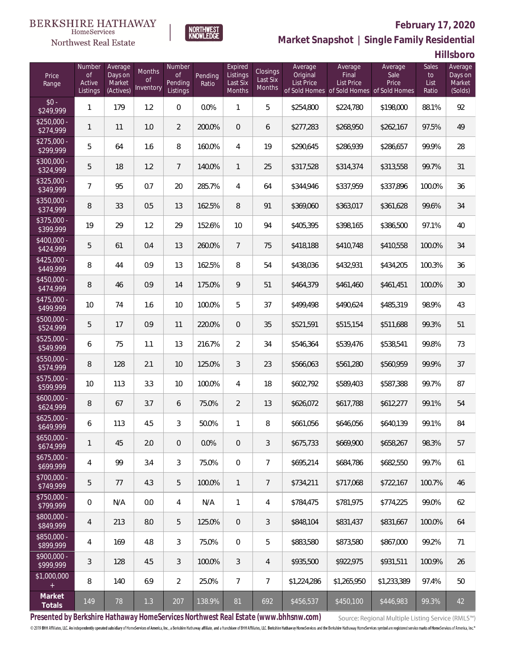

### **February 17, 2020**

**Market Snapshot | Single Family Residential**

**Hillsboro**

| Price<br>Range            | Number<br>of<br>Active<br>Listings | Average<br>Days on<br>Market<br>(Actives) | Months<br>0f<br>Inventory | Number<br>Οf<br>Pending<br>Listings | Pending<br>Ratio | Expired<br>Listings<br>Last Six<br>Months | Closings<br>Last Six<br><b>Months</b> | Average<br>Original<br><b>List Price</b> | Average<br>Final<br>List Price<br>of Sold Homes of Sold Homes of Sold Homes | Average<br>Sale<br>Price | Sales<br>to<br>List<br>Ratio | Average<br>Days on<br>Market<br>(Solds) |
|---------------------------|------------------------------------|-------------------------------------------|---------------------------|-------------------------------------|------------------|-------------------------------------------|---------------------------------------|------------------------------------------|-----------------------------------------------------------------------------|--------------------------|------------------------------|-----------------------------------------|
| $$0 -$<br>\$249,999       | $\mathbf{1}$                       | 179                                       | 1.2                       | $\mathbf{0}$                        | 0.0%             | 1                                         | 5                                     | \$254,800                                | \$224,780                                                                   | \$198,000                | 88.1%                        | 92                                      |
| $$250.000 -$<br>\$274,999 | 1                                  | 11                                        | 1.0                       | $\overline{2}$                      | 200.0%           | $\overline{0}$                            | 6                                     | \$277,283                                | \$268,950                                                                   | \$262,167                | 97.5%                        | 49                                      |
| $$275,000 -$<br>\$299,999 | 5                                  | 64                                        | 1.6                       | 8                                   | 160.0%           | $\overline{4}$                            | 19                                    | \$290,645                                | \$286,939                                                                   | \$286,657                | 99.9%                        | 28                                      |
| \$300,000 -<br>\$324,999  | 5                                  | 18                                        | 1.2                       | $\overline{7}$                      | 140.0%           | $\mathbf{1}$                              | 25                                    | \$317,528                                | \$314,374                                                                   | \$313,558                | 99.7%                        | 31                                      |
| $$325,000 -$<br>\$349,999 | $\overline{7}$                     | 95                                        | 0.7                       | 20                                  | 285.7%           | $\overline{4}$                            | 64                                    | \$344,946                                | \$337,959                                                                   | \$337,896                | 100.0%                       | 36                                      |
| \$350,000 -<br>\$374,999  | 8                                  | 33                                        | 0.5                       | 13                                  | 162.5%           | 8                                         | 91                                    | \$369,060                                | \$363,017                                                                   | \$361,628                | 99.6%                        | 34                                      |
| $$375,000 -$<br>\$399,999 | 19                                 | 29                                        | 1.2                       | 29                                  | 152.6%           | 10                                        | 94                                    | \$405,395                                | \$398,165                                                                   | \$386,500                | 97.1%                        | 40                                      |
| \$400,000 -<br>\$424,999  | 5                                  | 61                                        | 0.4                       | 13                                  | 260.0%           | $\overline{7}$                            | 75                                    | \$418,188                                | \$410,748                                                                   | \$410,558                | 100.0%                       | 34                                      |
| $$425,000 -$<br>\$449,999 | 8                                  | 44                                        | 0.9                       | 13                                  | 162.5%           | 8                                         | 54                                    | \$438,036                                | \$432,931                                                                   | \$434,205                | 100.3%                       | 36                                      |
| \$450,000 -<br>\$474,999  | 8                                  | 46                                        | 0.9                       | 14                                  | 175.0%           | 9                                         | 51                                    | \$464,379                                | \$461,460                                                                   | \$461,451                | 100.0%                       | 30                                      |
| $$475,000 -$<br>\$499,999 | 10                                 | 74                                        | 1.6                       | 10                                  | 100.0%           | 5                                         | 37                                    | \$499,498                                | \$490,624                                                                   | \$485,319                | 98.9%                        | 43                                      |
| \$500,000 -<br>\$524,999  | 5                                  | 17                                        | 0.9                       | 11                                  | 220.0%           | $\overline{0}$                            | 35                                    | \$521,591                                | \$515,154                                                                   | \$511,688                | 99.3%                        | 51                                      |
| \$525,000 -<br>\$549,999  | 6                                  | 75                                        | 1.1                       | 13                                  | 216.7%           | $\overline{2}$                            | 34                                    | \$546,364                                | \$539,476                                                                   | \$538,541                | 99.8%                        | 73                                      |
| $$550,000 -$<br>\$574,999 | 8                                  | 128                                       | 2.1                       | 10                                  | 125.0%           | 3                                         | 23                                    | \$566,063                                | \$561,280                                                                   | \$560,959                | 99.9%                        | 37                                      |
| \$575,000 -<br>\$599,999  | 10                                 | 113                                       | 3.3                       | 10                                  | 100.0%           | $\overline{4}$                            | 18                                    | \$602,792                                | \$589,403                                                                   | \$587,388                | 99.7%                        | 87                                      |
| $$600,000 -$<br>\$624,999 | 8                                  | 67                                        | 3.7                       | 6                                   | 75.0%            | $\overline{2}$                            | 13                                    | \$626,072                                | \$617,788                                                                   | \$612,277                | 99.1%                        | 54                                      |
| $$625,000 -$<br>\$649,999 | 6                                  | 113                                       | 4.5                       | 3                                   | 50.0%            | 1                                         | 8                                     | \$661,056                                | \$646,056                                                                   | \$640,139                | 99.1%                        | 84                                      |
| $$650,000 -$<br>\$674,999 | 1                                  | 45                                        | 2.0                       | $\overline{0}$                      | 0.0%             | $\overline{0}$                            | 3                                     | \$675,733                                | \$669,900                                                                   | \$658,267                | 98.3%                        | 57                                      |
| $$675,000 -$<br>\$699,999 | 4                                  | 99                                        | 3.4                       | 3                                   | 75.0%            | $\overline{0}$                            | $\overline{7}$                        | \$695,214                                | \$684,786                                                                   | \$682,550                | 99.7%                        | 61                                      |
| $$700,000 -$<br>\$749,999 | 5                                  | 77                                        | 4.3                       | 5                                   | 100.0%           | $\mathbf{1}$                              | 7                                     | \$734,211                                | \$717,068                                                                   | \$722,167                | 100.7%                       | 46                                      |
| $$750,000 -$<br>\$799,999 | 0                                  | N/A                                       | 0.0                       | $\overline{4}$                      | N/A              | $\mathbf{1}$                              | 4                                     | \$784,475                                | \$781,975                                                                   | \$774,225                | 99.0%                        | 62                                      |
| \$800,000 -<br>\$849,999  | 4                                  | 213                                       | 8.0                       | 5                                   | 125.0%           | $\mathbf{0}$                              | 3                                     | \$848,104                                | \$831,437                                                                   | \$831,667                | 100.0%                       | 64                                      |
| \$850,000 -<br>\$899,999  | 4                                  | 169                                       | 4.8                       | 3                                   | 75.0%            | $\overline{0}$                            | 5                                     | \$883,580                                | \$873,580                                                                   | \$867,000                | 99.2%                        | 71                                      |
| $$900,000 -$<br>\$999,999 | 3                                  | 128                                       | 4.5                       | 3                                   | 100.0%           | 3                                         | 4                                     | \$935,500                                | \$922,975                                                                   | \$931,511                | 100.9%                       | 26                                      |
| \$1,000,000               | 8                                  | 140                                       | 6.9                       | $\overline{2}$                      | 25.0%            | $\overline{7}$                            | 7                                     | \$1,224,286                              | \$1,265,950                                                                 | \$1,233,389              | 97.4%                        | 50                                      |
| Market<br>Totals          | 149                                | 78                                        | 1.3                       | 207                                 | 138.9%           | 81                                        | 692                                   | \$456,537                                | \$450,100                                                                   | \$446,983                | 99.3%                        | 42                                      |

**NORTHWEST**<br>KNOWLEDGE

**Presented by Berkshire Hathaway HomeServices Northwest Real Estate (www.bhhsnw.com)**

Source: Regional Multiple Listing Service (RMLS™)